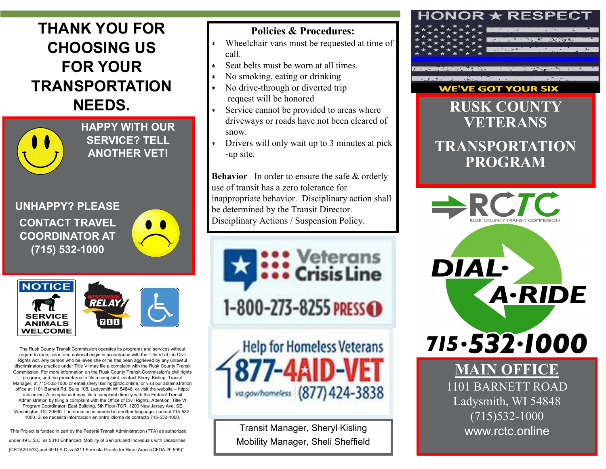# **THANK YOU FOR CHOOSING US FOR YOUR TRANSPORTATION NEEDS.**



**HAPPY WITH OUR SERVICE? TELL ANOTHER VET!**

**UNHAPPY? PLEASE CONTACT TRAVEL COORDINATOR AT (715) 532-1000**





The Rusk County Transit Commission operates its programs and services without regard to race, color, and national origin in accordance with the Title VI of the Civil Rights Act. Any person who believes she or he has been aggrieved by any unlawful discriminatory practice under Title VI may file a complaint with the Rusk County Transit Commission. For more information on the Rusk County Transit Commission's civil rights program, and the procedures to file a complaint, contact Sheryl Kisling, Transit Manager, at 715-532-1000 or email sheryl.kisling@rctc.online; or visit our administration office at 1101 Barnett Rd, Suite 108, Ladysmith WI 54848, or visit the website – http:// rctc.online. A complainant may file a complaint directly with the Federal Transit Administration by filing a complaint with the Office of Civil Rights, Attention: Title VI Program Coordinator, East Building, 5th Floor-TCR, 1200 New Jersey Ave, SE Washington, DC 20590. If information is needed in another language, contact 715-532- 1000. Si se necesita informacion en ontro idioma de contacto 715-532-1000.

"This Project is funded in part by the Federal Transit Administration (FTA) as authorized under 49 U.S.C. ss.5310 Enhanced Mobility of Seniors and Individuals with Disabilities (CFDA20.513) and 49 U.S.C ss 5311 Formula Grants for Rural Areas (CFDA 20.509)"

#### **Policies & Procedures:**

- Wheelchair vans must be requested at time of call.
- Seat belts must be worn at all times.
- No smoking, eating or drinking
- No drive-through or diverted trip request will be honored
- Service cannot be provided to areas where driveways or roads have not been cleared of snow.
- Drivers will only wait up to 3 minutes at pick -up site.

**Behavior** –In order to ensure the safe & orderly use of transit has a zero tolerance for inappropriate behavior. Disciplinary action shall be determined by the Transit Director. Disciplinary Actions / Suspension Policy.





Transit Manager, Sheryl Kisling Mobility Manager, Sheli Sheffield

### NOR  $\star$  RESPEC.



TO THE CAR THE

#### **WE'VE GOT YOUR SIX**

**RUSK COUNT VETERANS TRANSPORTATION PROGRAM**



**DIAL·** 

715.532.1000

**A-RIDE** 

**MIN OFFICE** 1101 BARNETT ROAD Ladysmith, WI 54848 (715)532-1000 www.rctc.online